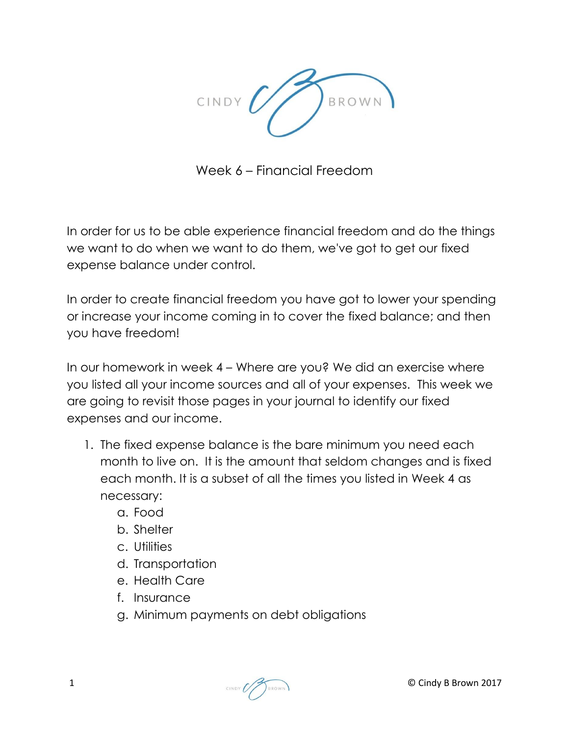

Week 6 – Financial Freedom

In order for us to be able experience financial freedom and do the things we want to do when we want to do them, we've got to get our fixed expense balance under control.

In order to create financial freedom you have got to lower your spending or increase your income coming in to cover the fixed balance; and then you have freedom!

In our homework in week 4 – Where are you? We did an exercise where you listed all your income sources and all of your expenses. This week we are going to revisit those pages in your journal to identify our fixed expenses and our income.

- 1. The fixed expense balance is the bare minimum you need each month to live on. It is the amount that seldom changes and is fixed each month. It is a subset of all the times you listed in Week 4 as necessary:
	- a. Food
	- b. Shelter
	- c. Utilities
	- d. Transportation
	- e. Health Care
	- f. Insurance
	- g. Minimum payments on debt obligations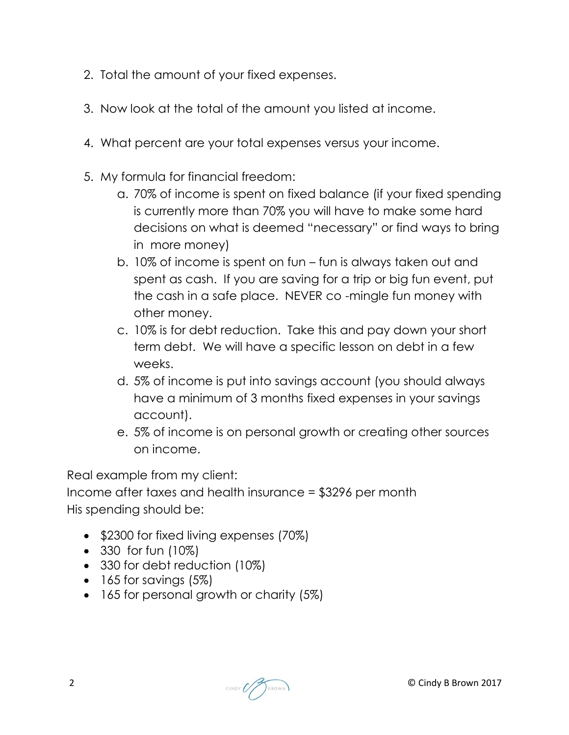- 2. Total the amount of your fixed expenses.
- 3. Now look at the total of the amount you listed at income.
- 4. What percent are your total expenses versus your income.
- 5. My formula for financial freedom:
	- a. 70% of income is spent on fixed balance (if your fixed spending is currently more than 70% you will have to make some hard decisions on what is deemed "necessary" or find ways to bring in more money)
	- b. 10% of income is spent on fun fun is always taken out and spent as cash. If you are saving for a trip or big fun event, put the cash in a safe place. NEVER co -mingle fun money with other money.
	- c. 10% is for debt reduction. Take this and pay down your short term debt. We will have a specific lesson on debt in a few weeks.
	- d. 5% of income is put into savings account (you should always have a minimum of 3 months fixed expenses in your savings account).
	- e. 5% of income is on personal growth or creating other sources on income.

Real example from my client:

Income after taxes and health insurance = \$3296 per month His spending should be:

- **•** \$2300 for fixed living expenses (70%)
- 330 for fun (10%)
- 330 for debt reduction (10%)
- $\bullet$  165 for savings (5%)
- 165 for personal growth or charity (5%)